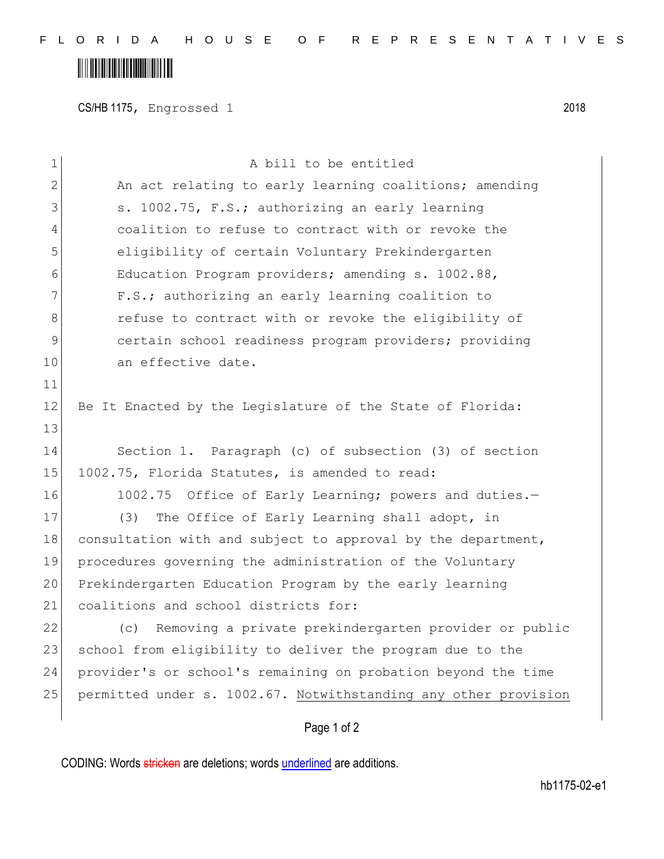## 

CS/HB 1175, Engrossed 1 2018

| $\mathbf 1$  | A bill to be entitled                                           |
|--------------|-----------------------------------------------------------------|
| $\mathbf{2}$ | An act relating to early learning coalitions; amending          |
| 3            | s. 1002.75, F.S.; authorizing an early learning                 |
| 4            | coalition to refuse to contract with or revoke the              |
| 5            | eligibility of certain Voluntary Prekindergarten                |
| 6            | Education Program providers; amending s. 1002.88,               |
| 7            | F.S.; authorizing an early learning coalition to                |
| 8            | refuse to contract with or revoke the eligibility of            |
| 9            | certain school readiness program providers; providing           |
| 10           | an effective date.                                              |
| 11           |                                                                 |
| 12           | Be It Enacted by the Legislature of the State of Florida:       |
| 13           |                                                                 |
| 14           | Section 1. Paragraph (c) of subsection (3) of section           |
| 15           | 1002.75, Florida Statutes, is amended to read:                  |
| 16           | 1002.75 Office of Early Learning; powers and duties.-           |
| 17           | The Office of Early Learning shall adopt, in<br>(3)             |
| 18           | consultation with and subject to approval by the department,    |
| 19           | procedures governing the administration of the Voluntary        |
| 20           | Prekindergarten Education Program by the early learning         |
| 21           | coalitions and school districts for:                            |
| 22           | Removing a private prekindergarten provider or public<br>(C)    |
| 23           | school from eligibility to deliver the program due to the       |
| 24           | provider's or school's remaining on probation beyond the time   |
| 25           | permitted under s. 1002.67. Notwithstanding any other provision |
|              | Page 1 of 2                                                     |

CODING: Words stricken are deletions; words underlined are additions.